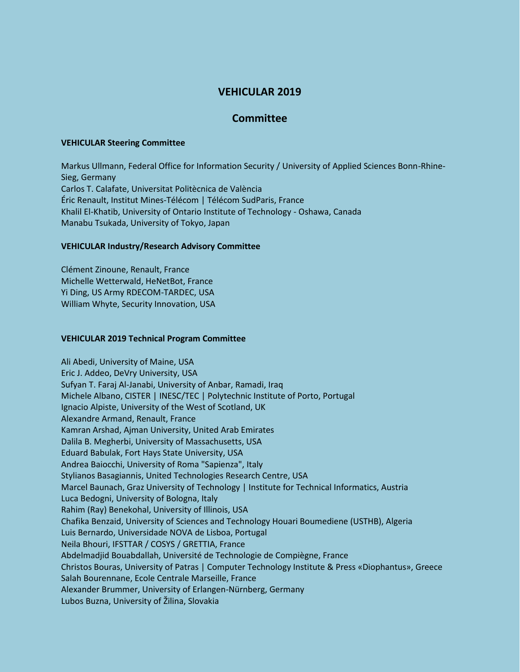# **VEHICULAR 2019**

## **Committee**

#### **VEHICULAR Steering Committee**

Markus Ullmann, Federal Office for Information Security / University of Applied Sciences Bonn-Rhine-Sieg, Germany Carlos T. Calafate, Universitat Politècnica de València Éric Renault, Institut Mines-Télécom | Télécom SudParis, France Khalil El-Khatib, University of Ontario Institute of Technology - Oshawa, Canada Manabu Tsukada, University of Tokyo, Japan

#### **VEHICULAR Industry/Research Advisory Committee**

Clément Zinoune, Renault, France Michelle Wetterwald, HeNetBot, France Yi Ding, US Army RDECOM-TARDEC, USA William Whyte, Security Innovation, USA

### **VEHICULAR 2019 Technical Program Committee**

Ali Abedi, University of Maine, USA Eric J. Addeo, DeVry University, USA Sufyan T. Faraj Al-Janabi, University of Anbar, Ramadi, Iraq Michele Albano, CISTER | INESC/TEC | Polytechnic Institute of Porto, Portugal Ignacio Alpiste, University of the West of Scotland, UK Alexandre Armand, Renault, France Kamran Arshad, Ajman University, United Arab Emirates Dalila B. Megherbi, University of Massachusetts, USA Eduard Babulak, Fort Hays State University, USA Andrea Baiocchi, University of Roma "Sapienza", Italy Stylianos Basagiannis, United Technologies Research Centre, USA Marcel Baunach, Graz University of Technology | Institute for Technical Informatics, Austria Luca Bedogni, University of Bologna, Italy Rahim (Ray) Benekohal, University of Illinois, USA Chafika Benzaid, University of Sciences and Technology Houari Boumediene (USTHB), Algeria Luis Bernardo, Universidade NOVA de Lisboa, Portugal Neila Bhouri, IFSTTAR / COSYS / GRETTIA, France Abdelmadjid Bouabdallah, Université de Technologie de Compiègne, France Christos Bouras, University of Patras | Computer Technology Institute & Press «Diophantus», Greece Salah Bourennane, Ecole Centrale Marseille, France Alexander Brummer, University of Erlangen-Nürnberg, Germany Lubos Buzna, University of Žilina, Slovakia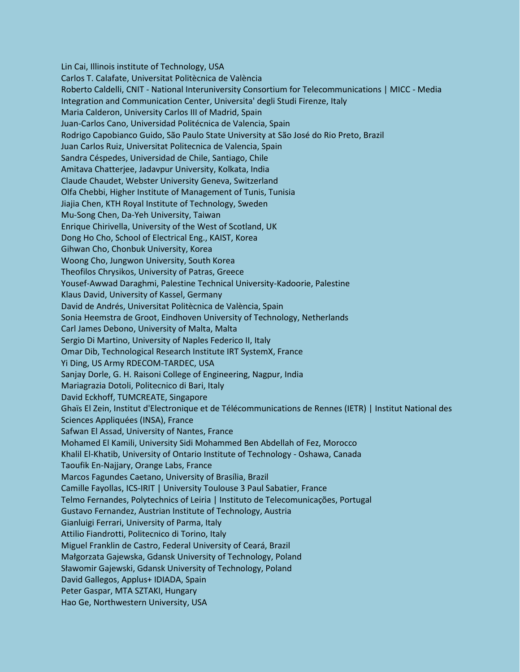Lin Cai, Illinois institute of Technology, USA Carlos T. Calafate, Universitat Politècnica de València Roberto Caldelli, CNIT - National Interuniversity Consortium for Telecommunications | MICC - Media Integration and Communication Center, Universita' degli Studi Firenze, Italy Maria Calderon, University Carlos III of Madrid, Spain Juan-Carlos Cano, Universidad Politécnica de Valencia, Spain Rodrigo Capobianco Guido, São Paulo State University at São José do Rio Preto, Brazil Juan Carlos Ruiz, Universitat Politecnica de Valencia, Spain Sandra Céspedes, Universidad de Chile, Santiago, Chile Amitava Chatterjee, Jadavpur University, Kolkata, India Claude Chaudet, Webster University Geneva, Switzerland Olfa Chebbi, Higher Institute of Management of Tunis, Tunisia Jiajia Chen, KTH Royal Institute of Technology, Sweden Mu-Song Chen, Da-Yeh University, Taiwan Enrique Chirivella, University of the West of Scotland, UK Dong Ho Cho, School of Electrical Eng., KAIST, Korea Gihwan Cho, Chonbuk University, Korea Woong Cho, Jungwon University, South Korea Theofilos Chrysikos, University of Patras, Greece Yousef-Awwad Daraghmi, Palestine Technical University-Kadoorie, Palestine Klaus David, University of Kassel, Germany David de Andrés, Universitat Politècnica de València, Spain Sonia Heemstra de Groot, Eindhoven University of Technology, Netherlands Carl James Debono, University of Malta, Malta Sergio Di Martino, University of Naples Federico II, Italy Omar Dib, Technological Research Institute IRT SystemX, France Yi Ding, US Army RDECOM-TARDEC, USA Sanjay Dorle, G. H. Raisoni College of Engineering, Nagpur, India Mariagrazia Dotoli, Politecnico di Bari, Italy David Eckhoff, TUMCREATE, Singapore Ghaïs El Zein, Institut d'Electronique et de Télécommunications de Rennes (IETR) | Institut National des Sciences Appliquées (INSA), France Safwan El Assad, University of Nantes, France Mohamed El Kamili, University Sidi Mohammed Ben Abdellah of Fez, Morocco Khalil El-Khatib, University of Ontario Institute of Technology - Oshawa, Canada Taoufik En-Najjary, Orange Labs, France Marcos Fagundes Caetano, University of Brasília, Brazil Camille Fayollas, ICS-IRIT | University Toulouse 3 Paul Sabatier, France Telmo Fernandes, Polytechnics of Leiria | Instituto de Telecomunicações, Portugal Gustavo Fernandez, Austrian Institute of Technology, Austria Gianluigi Ferrari, University of Parma, Italy Attilio Fiandrotti, Politecnico di Torino, Italy Miguel Franklin de Castro, Federal University of Ceará, Brazil Małgorzata Gajewska, Gdansk University of Technology, Poland Sławomir Gajewski, Gdansk University of Technology, Poland David Gallegos, Applus+ IDIADA, Spain Peter Gaspar, MTA SZTAKI, Hungary Hao Ge, Northwestern University, USA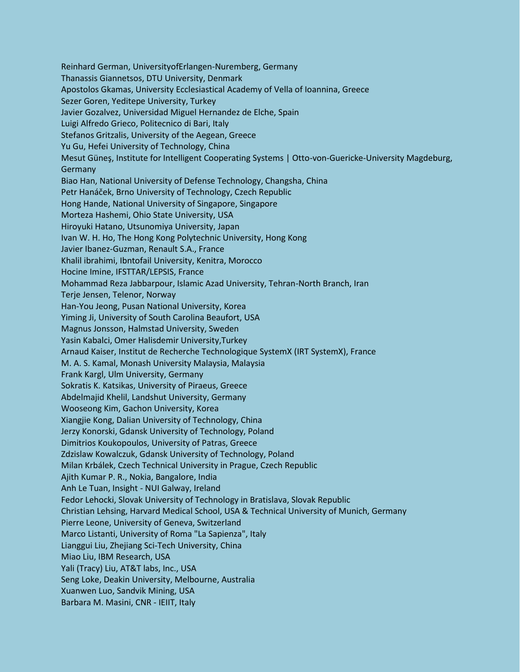Reinhard German, UniversityofErlangen-Nuremberg, Germany Thanassis Giannetsos, DTU University, Denmark Apostolos Gkamas, University Ecclesiastical Academy of Vella of Ioannina, Greece Sezer Goren, Yeditepe University, Turkey Javier Gozalvez, Universidad Miguel Hernandez de Elche, Spain Luigi Alfredo Grieco, Politecnico di Bari, Italy Stefanos Gritzalis, University of the Aegean, Greece Yu Gu, Hefei University of Technology, China Mesut Güneş, Institute for Intelligent Cooperating Systems | Otto-von-Guericke-University Magdeburg, Germany Biao Han, National University of Defense Technology, Changsha, China Petr Hanáček, Brno University of Technology, Czech Republic Hong Hande, National University of Singapore, Singapore Morteza Hashemi, Ohio State University, USA Hiroyuki Hatano, Utsunomiya University, Japan Ivan W. H. Ho, The Hong Kong Polytechnic University, Hong Kong Javier Ibanez-Guzman, Renault S.A., France Khalil ibrahimi, Ibntofail University, Kenitra, Morocco Hocine Imine, IFSTTAR/LEPSIS, France Mohammad Reza Jabbarpour, Islamic Azad University, Tehran-North Branch, Iran Terje Jensen, Telenor, Norway Han-You Jeong, Pusan National University, Korea Yiming Ji, University of South Carolina Beaufort, USA Magnus Jonsson, Halmstad University, Sweden Yasin Kabalci, Omer Halisdemir University,Turkey Arnaud Kaiser, Institut de Recherche Technologique SystemX (IRT SystemX), France M. A. S. Kamal, Monash University Malaysia, Malaysia Frank Kargl, Ulm University, Germany Sokratis K. Katsikas, University of Piraeus, Greece Abdelmajid Khelil, Landshut University, Germany Wooseong Kim, Gachon University, Korea Xiangjie Kong, Dalian University of Technology, China Jerzy Konorski, Gdansk University of Technology, Poland Dimitrios Koukopoulos, University of Patras, Greece Zdzislaw Kowalczuk, Gdansk University of Technology, Poland Milan Krbálek, Czech Technical University in Prague, Czech Republic Ajith Kumar P. R., Nokia, Bangalore, India Anh Le Tuan, Insight - NUI Galway, Ireland Fedor Lehocki, Slovak University of Technology in Bratislava, Slovak Republic Christian Lehsing, Harvard Medical School, USA & Technical University of Munich, Germany Pierre Leone, University of Geneva, Switzerland Marco Listanti, University of Roma "La Sapienza", Italy Lianggui Liu, Zhejiang Sci-Tech University, China Miao Liu, IBM Research, USA Yali (Tracy) Liu, AT&T labs, Inc., USA Seng Loke, Deakin University, Melbourne, Australia Xuanwen Luo, Sandvik Mining, USA Barbara M. Masini, CNR - IEIIT, Italy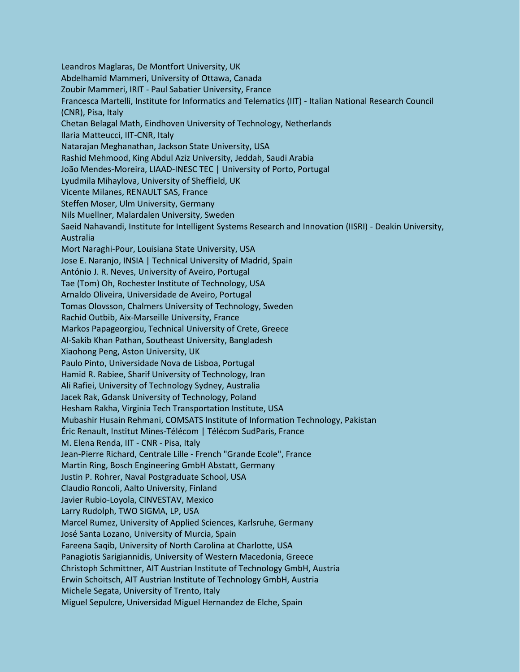Leandros Maglaras, De Montfort University, UK Abdelhamid Mammeri, University of Ottawa, Canada Zoubir Mammeri, IRIT - Paul Sabatier University, France Francesca Martelli, Institute for Informatics and Telematics (IIT) - Italian National Research Council (CNR), Pisa, Italy Chetan Belagal Math, Eindhoven University of Technology, Netherlands Ilaria Matteucci, IIT-CNR, Italy Natarajan Meghanathan, Jackson State University, USA Rashid Mehmood, King Abdul Aziz University, Jeddah, Saudi Arabia João Mendes-Moreira, LIAAD-INESC TEC | University of Porto, Portugal Lyudmila Mihaylova, University of Sheffield, UK Vicente Milanes, RENAULT SAS, France Steffen Moser, Ulm University, Germany Nils Muellner, Malardalen University, Sweden Saeid Nahavandi, Institute for Intelligent Systems Research and Innovation (IISRI) - Deakin University, Australia Mort Naraghi-Pour, Louisiana State University, USA Jose E. Naranjo, INSIA | Technical University of Madrid, Spain António J. R. Neves, University of Aveiro, Portugal Tae (Tom) Oh, Rochester Institute of Technology, USA Arnaldo Oliveira, Universidade de Aveiro, Portugal Tomas Olovsson, Chalmers University of Technology, Sweden Rachid Outbib, Aix-Marseille University, France Markos Papageorgiou, Technical University of Crete, Greece Al-Sakib Khan Pathan, Southeast University, Bangladesh Xiaohong Peng, Aston University, UK Paulo Pinto, Universidade Nova de Lisboa, Portugal Hamid R. Rabiee, Sharif University of Technology, Iran Ali Rafiei, University of Technology Sydney, Australia Jacek Rak, Gdansk University of Technology, Poland Hesham Rakha, Virginia Tech Transportation Institute, USA Mubashir Husain Rehmani, COMSATS Institute of Information Technology, Pakistan Éric Renault, Institut Mines-Télécom | Télécom SudParis, France M. Elena Renda, IIT - CNR - Pisa, Italy Jean-Pierre Richard, Centrale Lille - French "Grande Ecole", France Martin Ring, Bosch Engineering GmbH Abstatt, Germany Justin P. Rohrer, Naval Postgraduate School, USA Claudio Roncoli, Aalto University, Finland Javier Rubio-Loyola, CINVESTAV, Mexico Larry Rudolph, TWO SIGMA, LP, USA Marcel Rumez, University of Applied Sciences, Karlsruhe, Germany José Santa Lozano, University of Murcia, Spain Fareena Saqib, University of North Carolina at Charlotte, USA Panagiotis Sarigiannidis, University of Western Macedonia, Greece Christoph Schmittner, AIT Austrian Institute of Technology GmbH, Austria Erwin Schoitsch, AIT Austrian Institute of Technology GmbH, Austria Michele Segata, University of Trento, Italy Miguel Sepulcre, Universidad Miguel Hernandez de Elche, Spain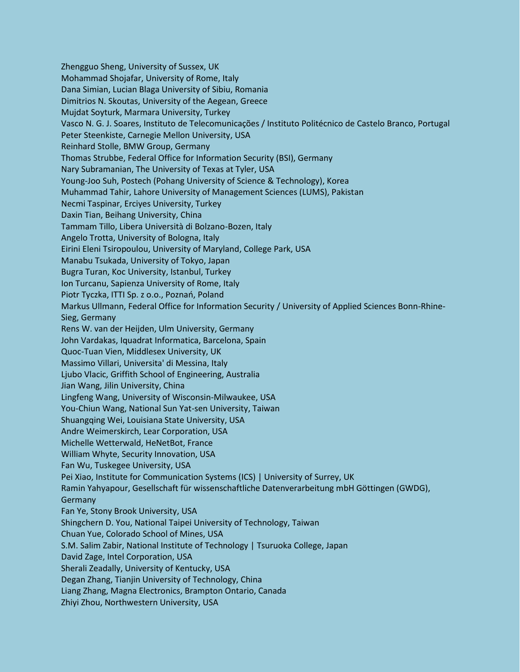Zhengguo Sheng, University of Sussex, UK Mohammad Shojafar, University of Rome, Italy Dana Simian, Lucian Blaga University of Sibiu, Romania Dimitrios N. Skoutas, University of the Aegean, Greece Mujdat Soyturk, Marmara University, Turkey Vasco N. G. J. Soares, Instituto de Telecomunicações / Instituto Politécnico de Castelo Branco, Portugal Peter Steenkiste, Carnegie Mellon University, USA Reinhard Stolle, BMW Group, Germany Thomas Strubbe, Federal Office for Information Security (BSI), Germany Nary Subramanian, The University of Texas at Tyler, USA Young-Joo Suh, Postech (Pohang University of Science & Technology), Korea Muhammad Tahir, Lahore University of Management Sciences (LUMS), Pakistan Necmi Taspinar, Erciyes University, Turkey Daxin Tian, Beihang University, China Tammam Tillo, Libera Università di Bolzano-Bozen, Italy Angelo Trotta, University of Bologna, Italy Eirini Eleni Tsiropoulou, University of Maryland, College Park, USA Manabu Tsukada, University of Tokyo, Japan Bugra Turan, Koc University, Istanbul, Turkey Ion Turcanu, Sapienza University of Rome, Italy Piotr Tyczka, ITTI Sp. z o.o., Poznań, Poland Markus Ullmann, Federal Office for Information Security / University of Applied Sciences Bonn-Rhine-Sieg, Germany Rens W. van der Heijden, Ulm University, Germany John Vardakas, Iquadrat Informatica, Barcelona, Spain Quoc-Tuan Vien, Middlesex University, UK Massimo Villari, Universita' di Messina, Italy Ljubo Vlacic, Griffith School of Engineering, Australia Jian Wang, Jilin University, China Lingfeng Wang, University of Wisconsin-Milwaukee, USA You-Chiun Wang, National Sun Yat-sen University, Taiwan Shuangqing Wei, Louisiana State University, USA Andre Weimerskirch, Lear Corporation, USA Michelle Wetterwald, HeNetBot, France William Whyte, Security Innovation, USA Fan Wu, Tuskegee University, USA Pei Xiao, Institute for Communication Systems (ICS) | University of Surrey, UK Ramin Yahyapour, Gesellschaft für wissenschaftliche Datenverarbeitung mbH Göttingen (GWDG), **Germany** Fan Ye, Stony Brook University, USA Shingchern D. You, National Taipei University of Technology, Taiwan Chuan Yue, Colorado School of Mines, USA S.M. Salim Zabir, National Institute of Technology | Tsuruoka College, Japan David Zage, Intel Corporation, USA Sherali Zeadally, University of Kentucky, USA Degan Zhang, Tianjin University of Technology, China Liang Zhang, Magna Electronics, Brampton Ontario, Canada Zhiyi Zhou, Northwestern University, USA